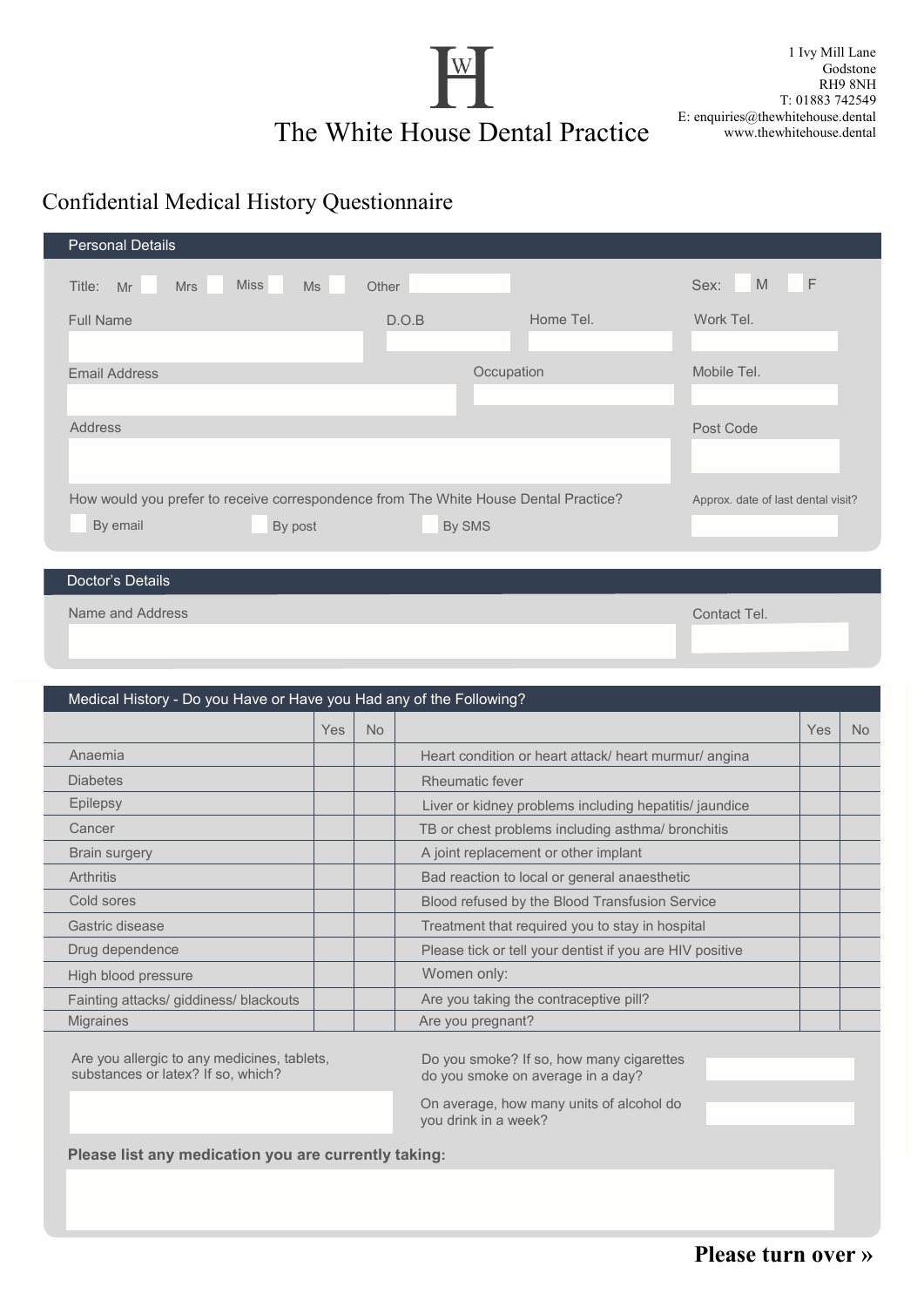

1 Ivy Mill Lane Godstone RH9 8NH T: 01883 742549 E: enquiries@thewhitehouse.dental www.thewhitehouse.dental

## Confidential Medical History Questionnaire

| <b>Personal Details</b>                                                                                     |        |            |                                    |
|-------------------------------------------------------------------------------------------------------------|--------|------------|------------------------------------|
| <b>Miss</b><br>Ms<br>Title:<br><b>Mrs</b><br>Mr                                                             | Other  |            | F<br>M<br>Sex:                     |
| <b>Full Name</b>                                                                                            | D.O.B  | Home Tel.  | Work Tel.                          |
| <b>Email Address</b>                                                                                        |        | Occupation | Mobile Tel.                        |
| <b>Address</b>                                                                                              |        |            | Post Code                          |
| How would you prefer to receive correspondence from The White House Dental Practice?<br>By email<br>By post | By SMS |            | Approx. date of last dental visit? |
|                                                                                                             |        |            |                                    |

## Doctor's Details

Name and Address Contact Tel. **Name and Address Contact Tel.** 2008. The Contact Tel. 2008. The Contact Tel. 2008. The Contact Tel. 2008. The Contact Tel. 2008. The Contact Tel. 2008. The Contact Tel. 2008. The Contact Tel.

| Medical History - Do you Have or Have you Had any of the Following? |            |           |                                                          |     |           |
|---------------------------------------------------------------------|------------|-----------|----------------------------------------------------------|-----|-----------|
|                                                                     | <b>Yes</b> | <b>No</b> |                                                          | Yes | <b>No</b> |
| Anaemia                                                             |            |           | Heart condition or heart attack/ heart murmur/ angina    |     |           |
| <b>Diabetes</b>                                                     |            |           | Rheumatic fever                                          |     |           |
| Epilepsy                                                            |            |           | Liver or kidney problems including hepatitis/ jaundice   |     |           |
| Cancer                                                              |            |           | TB or chest problems including asthma/ bronchitis        |     |           |
| <b>Brain surgery</b>                                                |            |           | A joint replacement or other implant                     |     |           |
| Arthritis                                                           |            |           | Bad reaction to local or general anaesthetic             |     |           |
| Cold sores                                                          |            |           | Blood refused by the Blood Transfusion Service           |     |           |
| Gastric disease                                                     |            |           | Treatment that required you to stay in hospital          |     |           |
| Drug dependence                                                     |            |           | Please tick or tell your dentist if you are HIV positive |     |           |
| High blood pressure                                                 |            |           | Women only:                                              |     |           |
| Fainting attacks/ giddiness/ blackouts                              |            |           | Are you taking the contraceptive pill?                   |     |           |
| <b>Migraines</b>                                                    |            |           | Are you pregnant?                                        |     |           |

Are you allergic to any medicines, tablets, substances or latex? If so, which?

Do you smoke? If so, how many cigarettes do you smoke on average in a day?

On average, how many units of alcohol do you drink in a week?

**Please list any medication you are currently taking:**